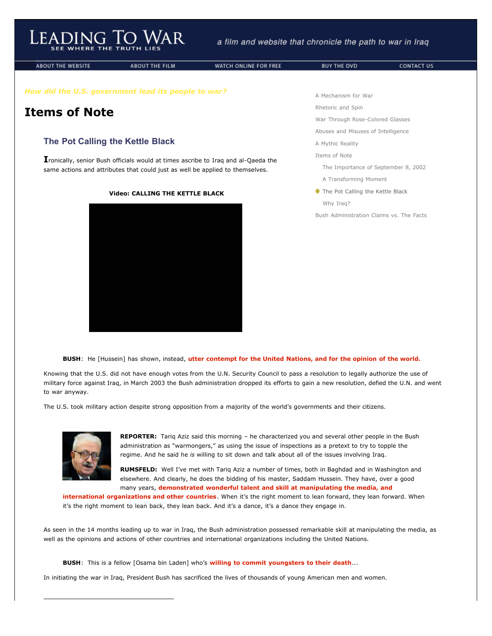**ABOUT THE WEBSITE** 

Leading To

**ABOUT THE FILM** 

WATCH ONLINE FOR FREE

*How did the U.S. government lead its people to war?*

## **Items of Note**

## **The Pot Calling the Kettle Black**

**I**ronically, senior Bush officials would at times ascribe to Iraq and al-Qaeda the same actions and attributes that could just as well be applied to themselves.

## **Video: CALLING THE KETTLE BLACK**



[A Mechanism for War](http://www.leadingtowar.com/mechanism_war.php)

[Rhetoric and Spin](http://www.leadingtowar.com/rhetoric_spin.php)

[War Through Rose-Colored Glasses](http://www.leadingtowar.com/war_rosecolored.php)

[Abuses and Misuses of Intelligence](http://www.leadingtowar.com/abuses_misuses.php)

[A Mythic Reality](http://www.leadingtowar.com/mythic_reality.php)

[Items of Note](http://www.leadingtowar.com/items_note.php)

[The Importance of September 8, 2002](http://www.leadingtowar.com/items_note.php)

- [A Transforming Moment](http://www.leadingtowar.com/items_note_transforming.php)
- **The Pot Calling the Kettle Black** [Why Iraq?](http://www.leadingtowar.com/items_note_why.php)

[Bush Administration Claims vs. The Facts](http://www.leadingtowar.com/claims_facts.php)

**BUSH**: He [Hussein] has shown, instead, **utter contempt for the United Nations, and for the opinion of the world.**

Knowing that the U.S. did not have enough votes from the U.N. Security Council to pass a resolution to legally authorize the use of military force against Iraq, in March 2003 the Bush administration dropped its efforts to gain a new resolution, defied the U.N. and went to war anyway.

The U.S. took military action despite strong opposition from a majority of the world's governments and their citizens.



ı

**REPORTER:** Tariq Aziz said this morning – he characterized you and several other people in the Bush administration as "warmongers," as using the issue of inspections as a pretext to try to topple the regime. And he said he *is* willing to sit down and talk about all of the issues involving Iraq.

**RUMSFELD:** Well I've met with Tariq Aziz a number of times, both in Baghdad and in Washington and elsewhere. And clearly, he does the bidding of his master, Saddam Hussein. They have, over a good many years, **demonstrated wonderful talent and skill at manipulating the media, and**

**international organizations and other countries**. When it's the right moment to lean forward, they lean forward. When it's the right moment to lean back, they lean back. And it's a dance, it's a dance they engage in.

As seen in the 14 months leading up to war in Iraq, the Bush administration possessed remarkable skill at manipulating the media, as well as the opinions and actions of other countries and international organizations including the United Nations.

**BUSH**: This is a fellow [Osama bin Laden] who's **willing to commit youngsters to their death**...

In initiating the war in Iraq, President Bush has sacrificed the lives of thousands of young American men and women.